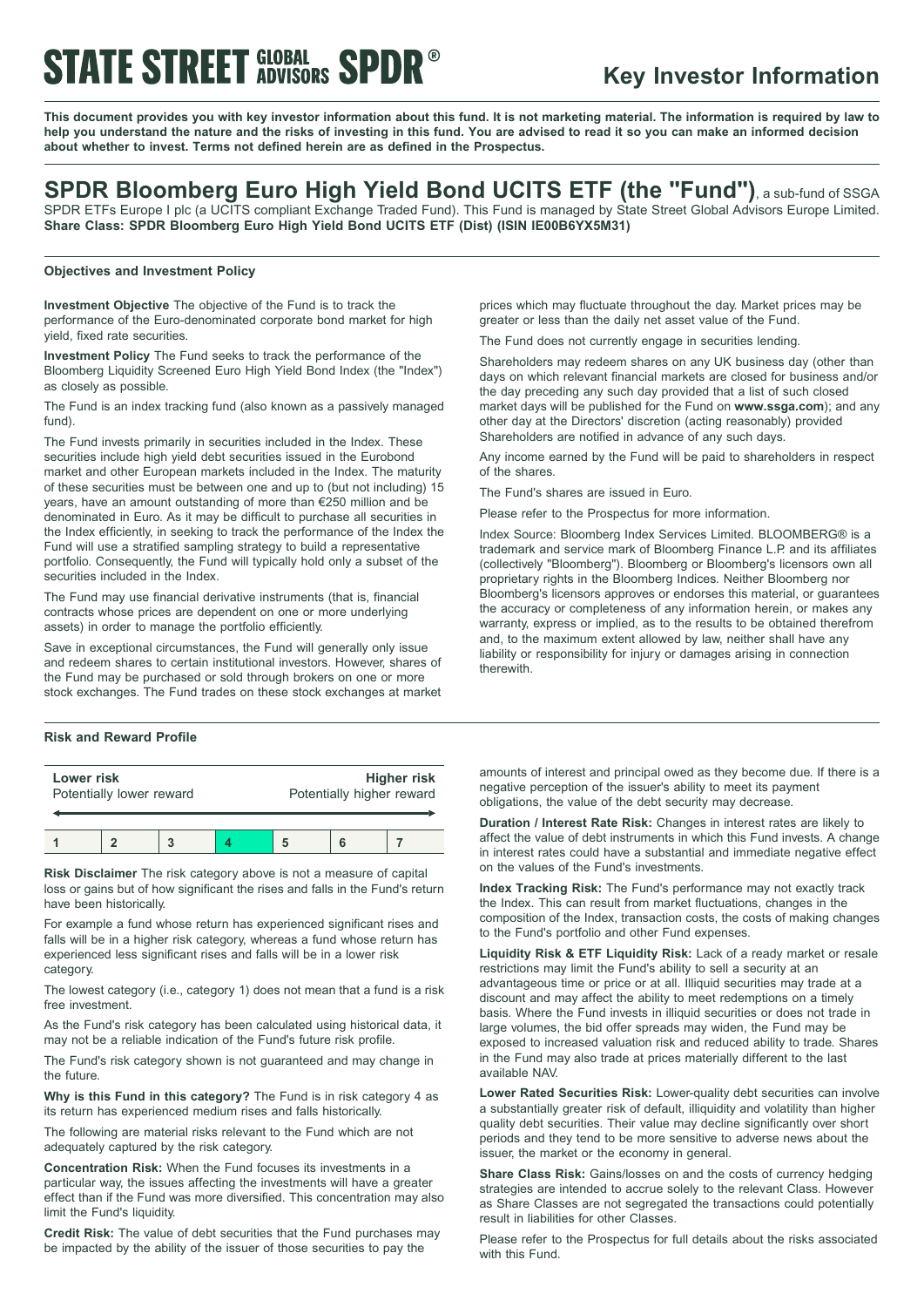# **STATE STREET GLOBAL SPDR®**

### **Key Investor Information**

This document provides you with key investor information about this fund. It is not marketing material. The information is required by law to help you understand the nature and the risks of investing in this fund. You are advised to read it so you can make an informed decision **about whether to invest. Terms not defined herein are as defined in the Prospectus.**

### **SPDR Bloomberg Euro High Yield Bond UCITS ETF (the "Fund")**, <sup>a</sup> sub-fund of SSGA

SPDR ETFs Europe I plc (a UCITS compliant Exchange Traded Fund). This Fund is managed by State Street Global Advisors Europe Limited. **Share Class: SPDR Bloomberg Euro High Yield Bond UCITS ETF (Dist) (ISIN IE00B6YX5M31)**

### **Objectives and Investment Policy**

**Investment Objective** The objective of the Fund is to track the performance of the Euro-denominated corporate bond market for high yield, fixed rate securities.

**Investment Policy** The Fund seeks to track the performance of the Bloomberg Liquidity Screened Euro High Yield Bond Index (the "Index") as closely as possible.

The Fund is an index tracking fund (also known as a passively managed fund).

The Fund invests primarily in securities included in the Index. These securities include high yield debt securities issued in the Eurobond market and other European markets included in the Index. The maturity of these securities must be between one and up to (but not including) 15 years, have an amount outstanding of more than €250 million and be denominated in Euro. As it may be difficult to purchase all securities in the Index efficiently, in seeking to track the performance of the Index the Fund will use a stratified sampling strategy to build a representative portfolio. Consequently, the Fund will typically hold only a subset of the securities included in the Index.

The Fund may use financial derivative instruments (that is, financial contracts whose prices are dependent on one or more underlying assets) in order to manage the portfolio efficiently.

Save in exceptional circumstances, the Fund will generally only issue and redeem shares to certain institutional investors. However, shares of the Fund may be purchased or sold through brokers on one or more stock exchanges. The Fund trades on these stock exchanges at market

### **Risk and Reward Profile**

| Lower risk<br>Potentially lower reward |  |  | <b>Higher risk</b><br>Potentially higher reward |   |  |
|----------------------------------------|--|--|-------------------------------------------------|---|--|
|                                        |  |  |                                                 | 6 |  |

**Risk Disclaimer** The risk category above is not a measure of capital loss or gains but of how significant the rises and falls in the Fund's return have been historically.

For example a fund whose return has experienced significant rises and falls will be in a higher risk category, whereas a fund whose return has experienced less significant rises and falls will be in a lower risk category.

The lowest category (i.e., category 1) does not mean that a fund is a risk free investment.

As the Fund's risk category has been calculated using historical data, it may not be a reliable indication of the Fund's future risk profile.

The Fund's risk category shown is not guaranteed and may change in the future.

**Why is this Fund in this category?** The Fund is in risk category 4 as its return has experienced medium rises and falls historically.

The following are material risks relevant to the Fund which are not adequately captured by the risk category.

**Concentration Risk:** When the Fund focuses its investments in a particular way, the issues affecting the investments will have a greater effect than if the Fund was more diversified. This concentration may also limit the Fund's liquidity.

**Credit Risk:** The value of debt securities that the Fund purchases may be impacted by the ability of the issuer of those securities to pay the

prices which may fluctuate throughout the day. Market prices may be greater or less than the daily net asset value of the Fund.

The Fund does not currently engage in securities lending.

Shareholders may redeem shares on any UK business day (other than days on which relevant financial markets are closed for business and/or the day preceding any such day provided that a list of such closed market days will be published for the Fund on **www.ssga.com**); and any other day at the Directors' discretion (acting reasonably) provided Shareholders are notified in advance of any such days.

Any income earned by the Fund will be paid to shareholders in respect of the shares.

The Fund's shares are issued in Euro.

Please refer to the Prospectus for more information.

Index Source: Bloomberg Index Services Limited. BLOOMBERG® is a trademark and service mark of Bloomberg Finance L.P. and its affiliates (collectively "Bloomberg"). Bloomberg or Bloomberg's licensors own all proprietary rights in the Bloomberg Indices. Neither Bloomberg nor Bloomberg's licensors approves or endorses this material, or guarantees the accuracy or completeness of any information herein, or makes any warranty, express or implied, as to the results to be obtained therefrom and, to the maximum extent allowed by law, neither shall have any liability or responsibility for injury or damages arising in connection therewith.

amounts of interest and principal owed as they become due. If there is a negative perception of the issuer's ability to meet its payment obligations, the value of the debt security may decrease.

**Duration / Interest Rate Risk:** Changes in interest rates are likely to affect the value of debt instruments in which this Fund invests. A change in interest rates could have a substantial and immediate negative effect on the values of the Fund's investments.

**Index Tracking Risk:** The Fund's performance may not exactly track the Index. This can result from market fluctuations, changes in the composition of the Index, transaction costs, the costs of making changes to the Fund's portfolio and other Fund expenses.

**Liquidity Risk & ETF Liquidity Risk:** Lack of a ready market or resale restrictions may limit the Fund's ability to sell a security at an advantageous time or price or at all. Illiquid securities may trade at a discount and may affect the ability to meet redemptions on a timely basis. Where the Fund invests in illiquid securities or does not trade in large volumes, the bid offer spreads may widen, the Fund may be exposed to increased valuation risk and reduced ability to trade. Shares in the Fund may also trade at prices materially different to the last available NAV.

**Lower Rated Securities Risk:** Lower-quality debt securities can involve a substantially greater risk of default, illiquidity and volatility than higher quality debt securities. Their value may decline significantly over short periods and they tend to be more sensitive to adverse news about the issuer, the market or the economy in general.

**Share Class Risk:** Gains/losses on and the costs of currency hedging strategies are intended to accrue solely to the relevant Class. However as Share Classes are not segregated the transactions could potentially result in liabilities for other Classes.

Please refer to the Prospectus for full details about the risks associated with this Fund.